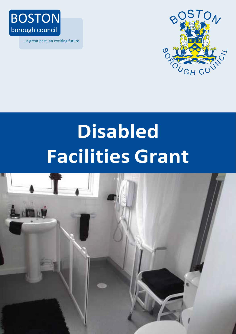

...a great past, an exciting future



# **Disabled Facilities Grant**

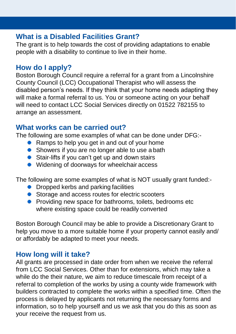## **What is a Disabled Facilities Grant?**

The grant is to help towards the cost of providing adaptations to enable people with a disability to continue to live in their home.

# **How do I apply?**

Boston Borough Council require a referral for a grant from a Lincolnshire County Council (LCC) Occupational Therapist who will assess the disabled person's needs. If they think that your home needs adapting they will make a formal referral to us. You or someone acting on your behalf will need to contact LCC Social Services directly on 01522 782155 to arrange an assessment.

# **What works can be carried out?**

The following are some examples of what can be done under DFG:-

- Ramps to help you get in and out of your home
- Showers if you are no longer able to use a bath
- Stair-lifts if you can't get up and down stairs
- Widening of doorways for wheelchair access

The following are some examples of what is NOT usually grant funded:-

- Dropped kerbs and parking facilities
- Storage and access routes for electric scooters
- **Providing new space for bathrooms, toilets, bedrooms etc.** where existing space could be readily converted

Boston Borough Council may be able to provide a Discretionary Grant to help you move to a more suitable home if your property cannot easily and/ or affordably be adapted to meet your needs.

## **How long will it take?**

All grants are processed in date order from when we receive the referral from LCC Social Services. Other than for extensions, which may take a while do the their nature, we aim to reduce timescale from receipt of a referral to completion of the works by using a county wide framework with builders contracted to complete the works within a specified time. Often the process is delayed by applicants not returning the necessary forms and information, so to help yourself and us we ask that you do this as soon as your receive the request from us.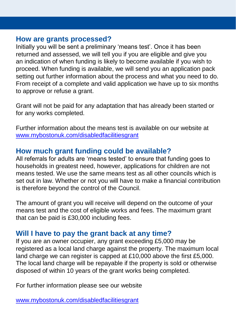#### **How are grants processed?**

Initially you will be sent a preliminary 'means test'. Once it has been returned and assessed, we will tell you if you are eligible and give you an indication of when funding is likely to become available if you wish to proceed. When funding is available, we will send you an application pack setting out further information about the process and what you need to do. From receipt of a complete and valid application we have up to six months to approve or refuse a grant.

Grant will not be paid for any adaptation that has already been started or for any works completed.

Further information about the means test is available on our website at [www.mybostonuk.com/disabledfacilitiesgrant](http://www.mybostonuk.com/disabledfacilitiesgrant)

# **How much grant funding could be available?**

All referrals for adults are 'means tested' to ensure that funding goes to households in greatest need, however, applications for children are not means tested. We use the same means test as all other councils which is set out in law. Whether or not you will have to make a financial contribution is therefore beyond the control of the Council.

The amount of grant you will receive will depend on the outcome of your means test and the cost of eligible works and fees. The maximum grant that can be paid is £30,000 including fees.

# **Will I have to pay the grant back at any time?**

If you are an owner occupier, any grant exceeding £5,000 may be registered as a local land charge against the property. The maximum local land charge we can register is capped at £10,000 above the first £5,000. The local land charge will be repayable if the property is sold or otherwise disposed of within 10 years of the grant works being completed.

For further information please see our website

[www.mybostonuk.com/disabledfacilitiesgrant](http://www.mybostonuk.com/disabledfacilitiesgrant)